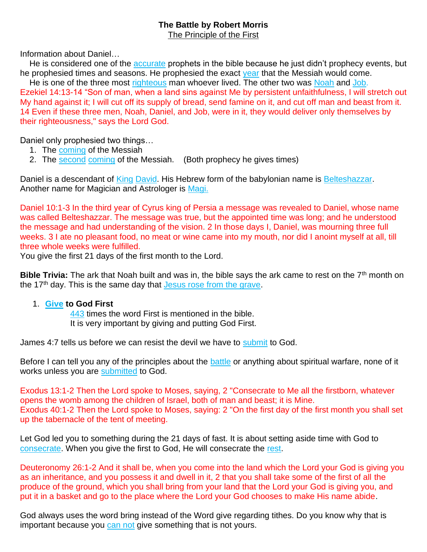## **The Battle by Robert Morris**

The Principle of the First

Information about Daniel…

He is considered one of the accurate prophets in the bible because he just didn't prophecy events, but he prophesied times and seasons. He prophesied the exact year that the Messiah would come.

He is one of the three most righteous man whoever lived. The other two was Noah and Job. Ezekiel 14:13-14 "Son of man, when a land sins against Me by persistent unfaithfulness, I will stretch out My hand against it; I will cut off its supply of bread, send famine on it, and cut off man and beast from it. 14 Even if these three men, Noah, Daniel, and Job, were in it, they would deliver only themselves by their righteousness," says the Lord God.

Daniel only prophesied two things…

- 1. The coming of the Messiah
- 2. The second coming of the Messiah. (Both prophecy he gives times)

Daniel is a descendant of King David. His Hebrew form of the babylonian name is Belteshazzar. Another name for Magician and Astrologer is Magi.

Daniel 10:1-3 In the third year of Cyrus king of Persia a message was revealed to Daniel, whose name was called Belteshazzar. The message was true, but the appointed time was long; and he understood the message and had understanding of the vision. 2 In those days I, Daniel, was mourning three full weeks. 3 I ate no pleasant food, no meat or wine came into my mouth, nor did I anoint myself at all, till three whole weeks were fulfilled.

You give the first 21 days of the first month to the Lord.

**Bible Trivia:** The ark that Noah built and was in, the bible says the ark came to rest on the 7<sup>th</sup> month on the  $17<sup>th</sup>$  day. This is the same day that Jesus rose from the grave.

## 1. **Give to God First**

443 times the word First is mentioned in the bible. It is very important by giving and putting God First.

James 4:7 tells us before we can resist the devil we have to submit to God.

Before I can tell you any of the principles about the battle or anything about spiritual warfare, none of it works unless you are submitted to God.

Exodus 13:1-2 Then the Lord spoke to Moses, saying, 2 "Consecrate to Me all the firstborn, whatever opens the womb among the children of Israel, both of man and beast; it is Mine. Exodus 40:1-2 Then the Lord spoke to Moses, saying: 2 "On the first day of the first month you shall set up the tabernacle of the tent of meeting.

Let God led you to something during the 21 days of fast. It is about setting aside time with God to consecrate. When you give the first to God, He will consecrate the rest.

Deuteronomy 26:1-2 And it shall be, when you come into the land which the Lord your God is giving you as an inheritance, and you possess it and dwell in it, 2 that you shall take some of the first of all the produce of the ground, which you shall bring from your land that the Lord your God is giving you, and put it in a basket and go to the place where the Lord your God chooses to make His name abide.

God always uses the word bring instead of the Word give regarding tithes. Do you know why that is important because you can not give something that is not yours.